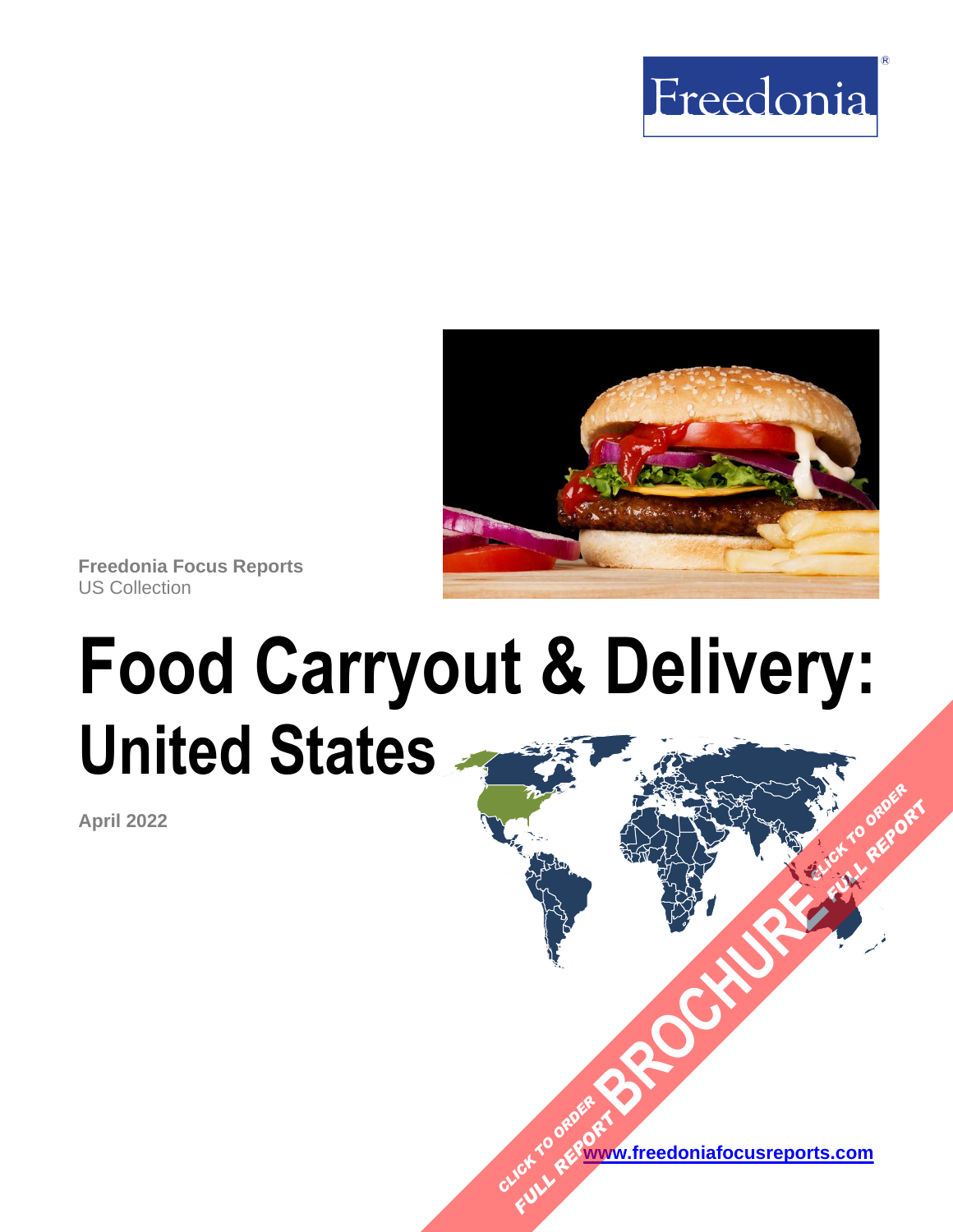



**Freedonia Focus Reports** US Collection

# **Food Carryout & Delivery: United States [BROCHURE](https://www.freedoniafocusreports.com/Food-Carryout-Delivery-United-States-FF95082/?progid=89541) CLICK TO ORDER**

**April 2022**

**[www.freedoniafocusreports.com](https://www.freedoniafocusreports.com/redirect.asp?progid=89534&url=/)** CLICK TO ORDER **FULL REPORT** 

**FULL REPORT**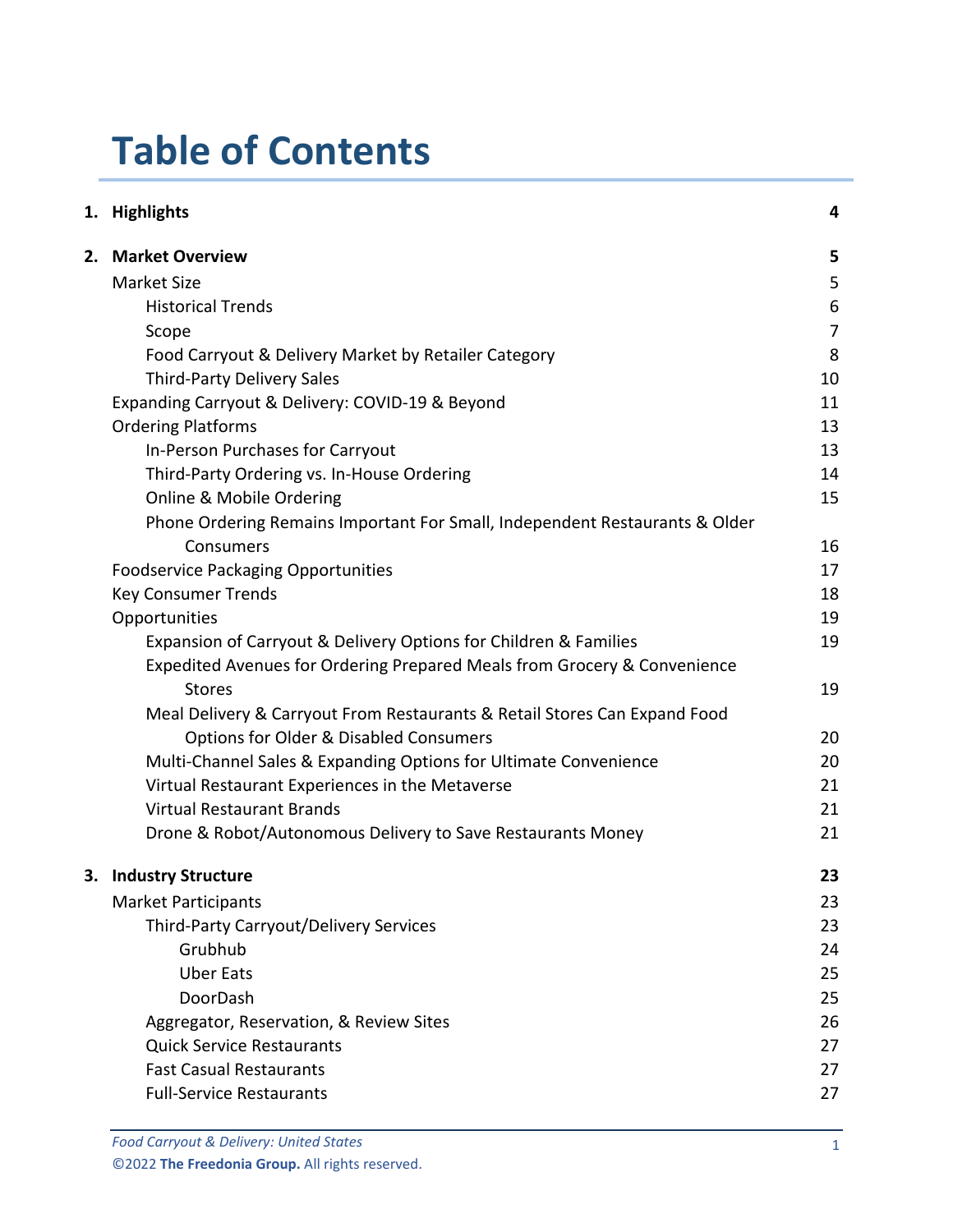# **Table of Contents**

| 1. Highlights                                                               | 4              |
|-----------------------------------------------------------------------------|----------------|
| 2. Market Overview                                                          | 5              |
| <b>Market Size</b>                                                          | 5              |
| <b>Historical Trends</b>                                                    | 6              |
| Scope                                                                       | $\overline{7}$ |
| Food Carryout & Delivery Market by Retailer Category                        | 8              |
| <b>Third-Party Delivery Sales</b>                                           | 10             |
| Expanding Carryout & Delivery: COVID-19 & Beyond                            | 11             |
| <b>Ordering Platforms</b>                                                   | 13             |
| In-Person Purchases for Carryout                                            | 13             |
| Third-Party Ordering vs. In-House Ordering                                  | 14             |
| Online & Mobile Ordering                                                    | 15             |
| Phone Ordering Remains Important For Small, Independent Restaurants & Older |                |
| Consumers                                                                   | 16             |
| <b>Foodservice Packaging Opportunities</b>                                  | 17             |
| <b>Key Consumer Trends</b>                                                  | 18             |
| Opportunities                                                               | 19             |
| Expansion of Carryout & Delivery Options for Children & Families            | 19             |
| Expedited Avenues for Ordering Prepared Meals from Grocery & Convenience    |                |
| <b>Stores</b>                                                               | 19             |
| Meal Delivery & Carryout From Restaurants & Retail Stores Can Expand Food   |                |
| <b>Options for Older &amp; Disabled Consumers</b>                           | 20             |
| Multi-Channel Sales & Expanding Options for Ultimate Convenience            | 20             |
| Virtual Restaurant Experiences in the Metaverse                             | 21             |
| <b>Virtual Restaurant Brands</b>                                            | 21             |
| Drone & Robot/Autonomous Delivery to Save Restaurants Money                 | 21             |
| 3. Industry Structure                                                       | 23             |
| <b>Market Participants</b>                                                  | 23             |
| Third-Party Carryout/Delivery Services                                      | 23             |
| Grubhub                                                                     | 24             |
| <b>Uber Eats</b>                                                            | 25             |
| DoorDash                                                                    | 25             |
| Aggregator, Reservation, & Review Sites                                     | 26             |
| <b>Quick Service Restaurants</b>                                            | 27             |
| <b>Fast Casual Restaurants</b>                                              | 27             |
| <b>Full-Service Restaurants</b>                                             | 27             |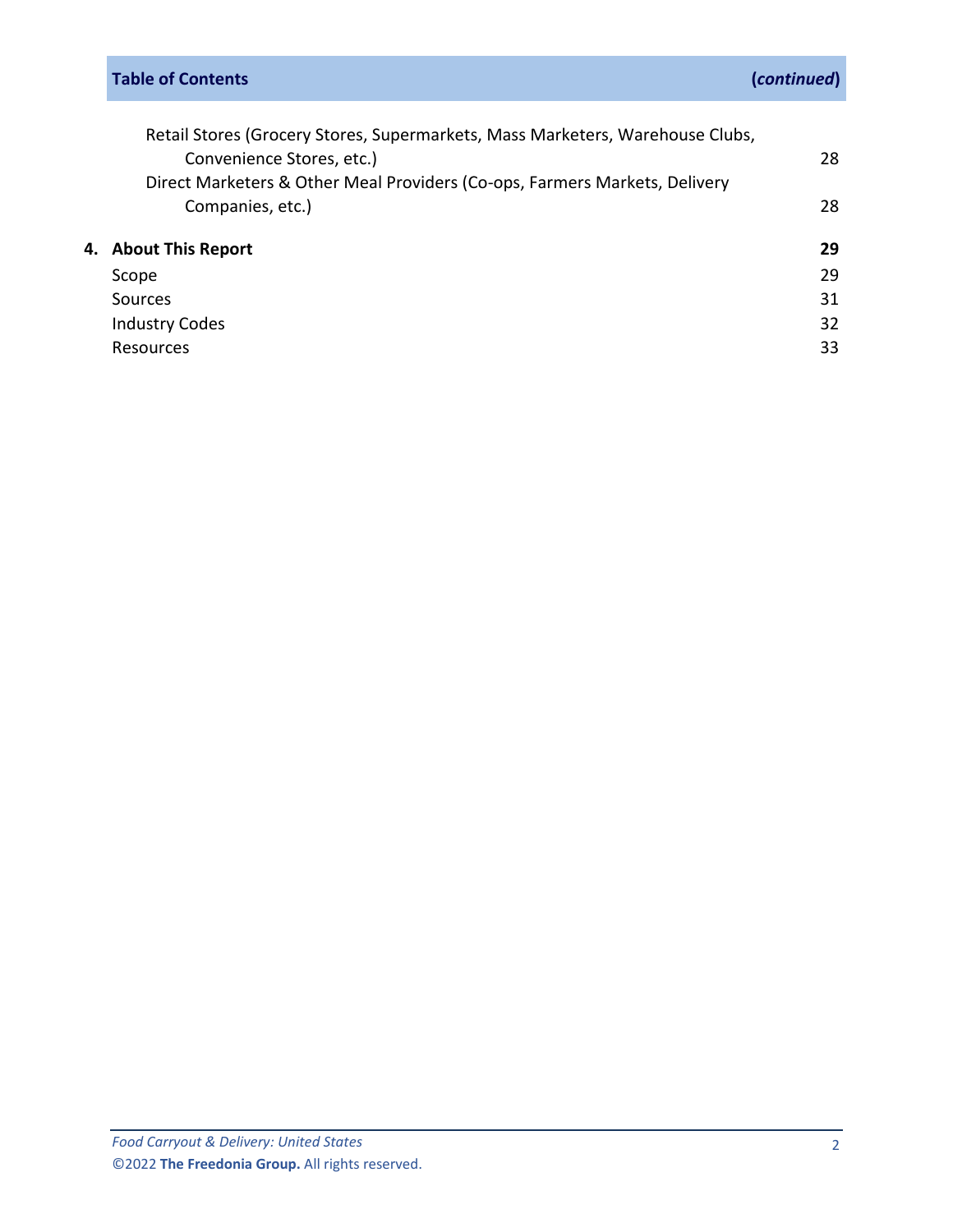| Retail Stores (Grocery Stores, Supermarkets, Mass Marketers, Warehouse Clubs, |    |
|-------------------------------------------------------------------------------|----|
| Convenience Stores, etc.)                                                     | 28 |
| Direct Marketers & Other Meal Providers (Co-ops, Farmers Markets, Delivery    |    |
| Companies, etc.)                                                              | 28 |
| 4. About This Report                                                          | 29 |
| Scope                                                                         | 29 |
| Sources                                                                       | 31 |
| <b>Industry Codes</b>                                                         | 32 |
| Resources                                                                     | 33 |
|                                                                               |    |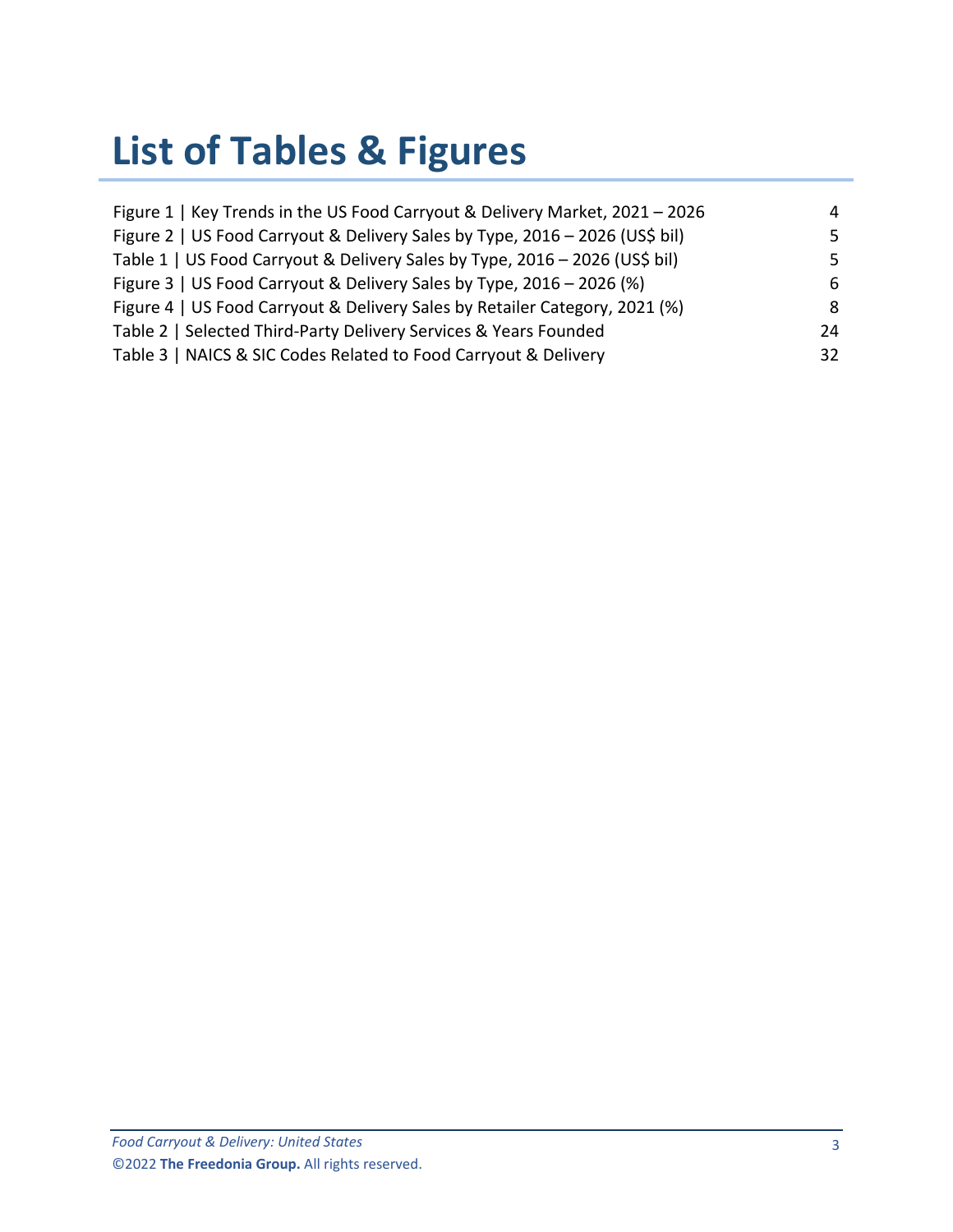# **List of Tables & Figures**

| Figure 1   Key Trends in the US Food Carryout & Delivery Market, 2021 - 2026 | 4  |
|------------------------------------------------------------------------------|----|
| Figure 2   US Food Carryout & Delivery Sales by Type, 2016 - 2026 (US\$ bil) | 5. |
| Table 1   US Food Carryout & Delivery Sales by Type, 2016 - 2026 (US\$ bil)  | 5. |
| Figure 3   US Food Carryout & Delivery Sales by Type, 2016 - 2026 (%)        | 6  |
| Figure 4   US Food Carryout & Delivery Sales by Retailer Category, 2021 (%)  | 8  |
| Table 2   Selected Third-Party Delivery Services & Years Founded             | 24 |
| Table 3   NAICS & SIC Codes Related to Food Carryout & Delivery              | 32 |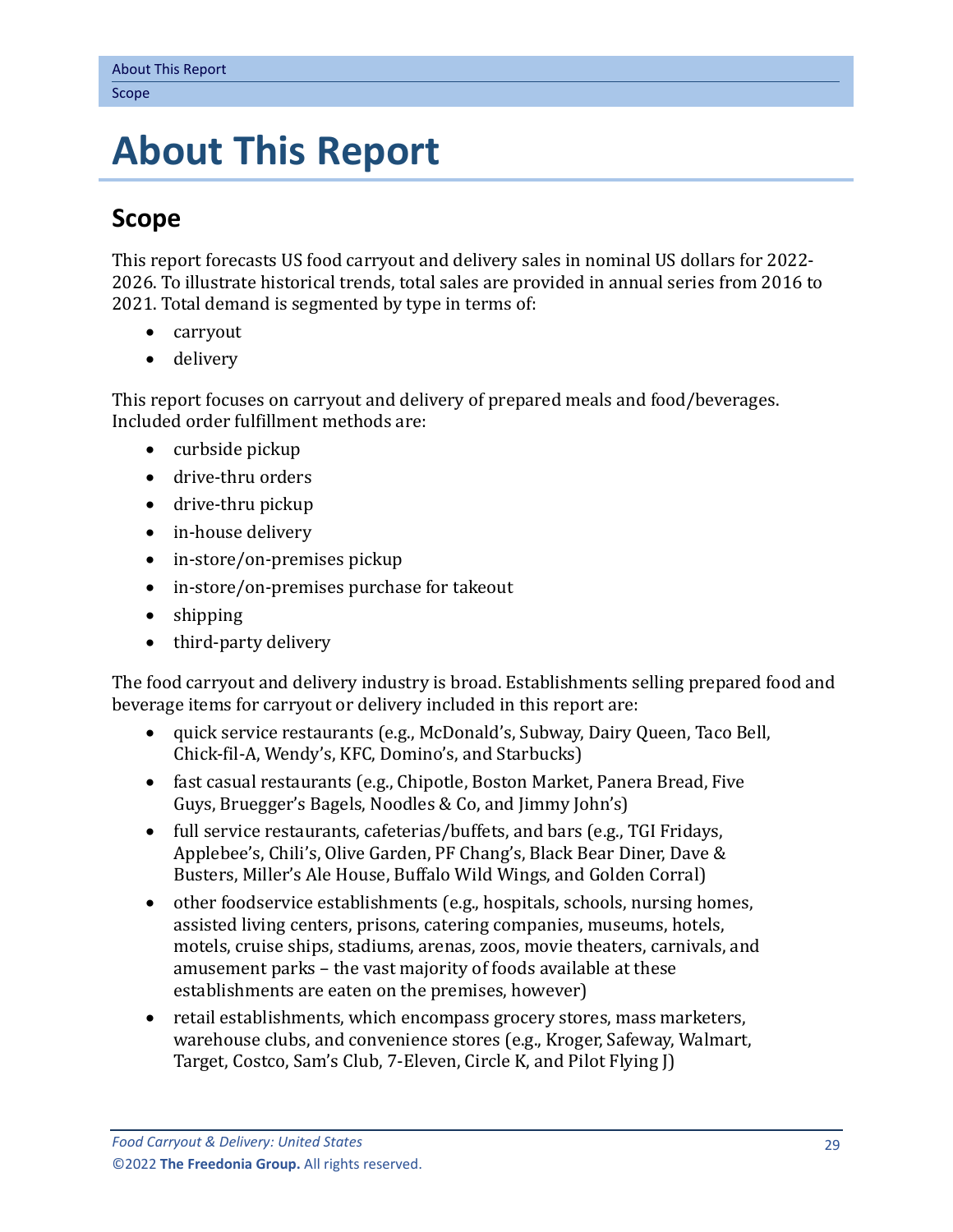# <span id="page-4-0"></span>**4. About This Report**

# <span id="page-4-1"></span>**Scope**

This report forecasts US food carryout and delivery sales in nominal US dollars for 2022- 2026. To illustrate historical trends, total sales are provided in annual series from 2016 to 2021. Total demand is segmented by type in terms of:

- carryout
- delivery

This report focuses on carryout and delivery of prepared meals and food/beverages. Included order fulfillment methods are:

- curbside pickup
- drive-thru orders
- drive-thru pickup
- in-house delivery
- in-store/on-premises pickup
- in-store/on-premises purchase for takeout
- shipping
- third-party delivery

The food carryout and delivery industry is broad. Establishments selling prepared food and beverage items for carryout or delivery included in this report are:

- quick service restaurants (e.g., McDonald's, Subway, Dairy Queen, Taco Bell, Chick-fil-A, Wendy's, KFC, Domino's, and Starbucks)
- fast casual restaurants (e.g., Chipotle, Boston Market, Panera Bread, Five Guys, Bruegger's Bagels, Noodles & Co, and Jimmy John's)
- full service restaurants, cafeterias/buffets, and bars (e.g., TGI Fridays, Applebee's, Chili's, Olive Garden, PF Chang's, Black Bear Diner, Dave & Busters, Miller's Ale House, Buffalo Wild Wings, and Golden Corral)
- other foodservice establishments (e.g., hospitals, schools, nursing homes, assisted living centers, prisons, catering companies, museums, hotels, motels, cruise ships, stadiums, arenas, zoos, movie theaters, carnivals, and amusement parks – the vast majority of foods available at these establishments are eaten on the premises, however)
- retail establishments, which encompass grocery stores, mass marketers, warehouse clubs, and convenience stores (e.g., Kroger, Safeway, Walmart, Target, Costco, Sam's Club, 7-Eleven, Circle K, and Pilot Flying J)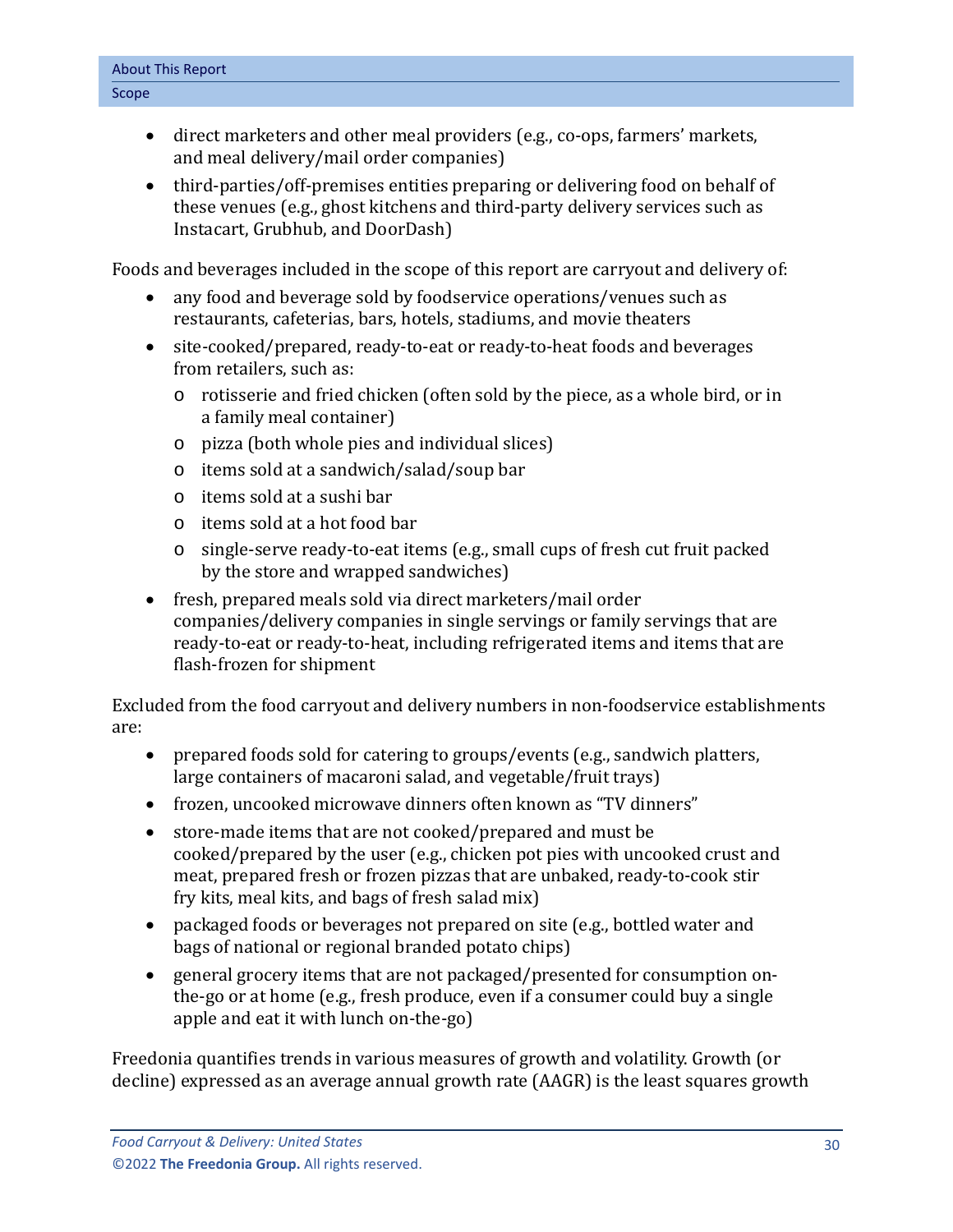- direct marketers and other meal providers (e.g., co-ops, farmers' markets, and meal delivery/mail order companies)
- third-parties/off-premises entities preparing or delivering food on behalf of these venues (e.g., ghost kitchens and third-party delivery services such as Instacart, Grubhub, and DoorDash)

Foods and beverages included in the scope of this report are carryout and delivery of:

- any food and beverage sold by foodservice operations/venues such as restaurants, cafeterias, bars, hotels, stadiums, and movie theaters
- site-cooked/prepared, ready-to-eat or ready-to-heat foods and beverages from retailers, such as:
	- o rotisserie and fried chicken (often sold by the piece, as a whole bird, or in a family meal container)
	- o pizza (both whole pies and individual slices)
	- o items sold at a sandwich/salad/soup bar
	- o items sold at a sushi bar
	- o items sold at a hot food bar
	- o single-serve ready-to-eat items (e.g., small cups of fresh cut fruit packed by the store and wrapped sandwiches)
- fresh, prepared meals sold via direct marketers/mail order companies/delivery companies in single servings or family servings that are ready-to-eat or ready-to-heat, including refrigerated items and items that are flash-frozen for shipment

Excluded from the food carryout and delivery numbers in non-foodservice establishments are:

- prepared foods sold for catering to groups/events (e.g., sandwich platters, large containers of macaroni salad, and vegetable/fruit trays)
- frozen, uncooked microwave dinners often known as "TV dinners"
- store-made items that are not cooked/prepared and must be cooked/prepared by the user (e.g., chicken pot pies with uncooked crust and meat, prepared fresh or frozen pizzas that are unbaked, ready-to-cook stir fry kits, meal kits, and bags of fresh salad mix)
- packaged foods or beverages not prepared on site (e.g., bottled water and bags of national or regional branded potato chips)
- general grocery items that are not packaged/presented for consumption onthe-go or at home (e.g., fresh produce, even if a consumer could buy a single apple and eat it with lunch on-the-go)

Freedonia quantifies trends in various measures of growth and volatility. Growth (or decline) expressed as an average annual growth rate (AAGR) is the least squares growth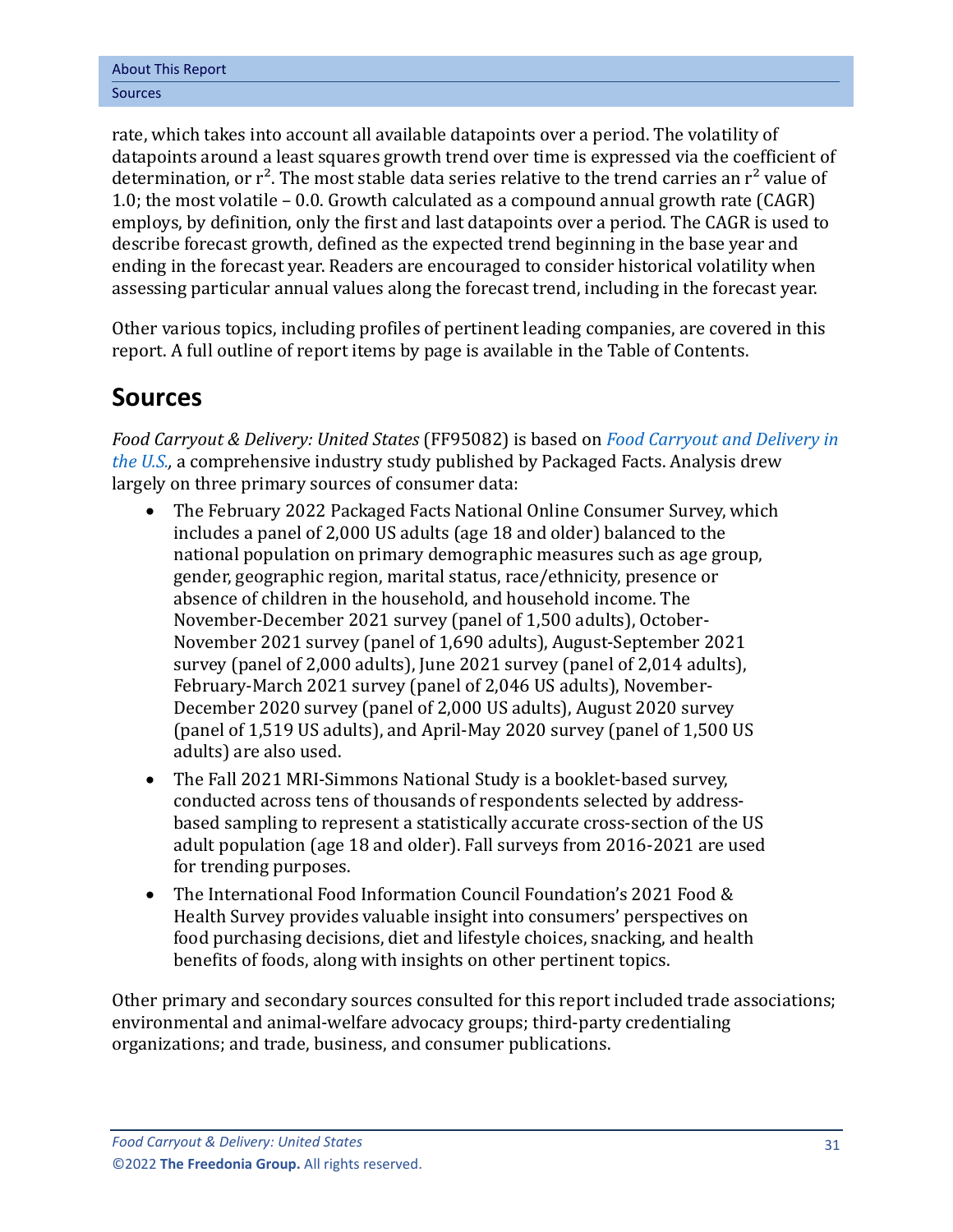rate, which takes into account all available datapoints over a period. The volatility of datapoints around a least squares growth trend over time is expressed via the coefficient of determination, or  $r^2$ . The most stable data series relative to the trend carries an  $r^2$  value of 1.0; the most volatile – 0.0. Growth calculated as a compound annual growth rate (CAGR) employs, by definition, only the first and last datapoints over a period. The CAGR is used to describe forecast growth, defined as the expected trend beginning in the base year and ending in the forecast year. Readers are encouraged to consider historical volatility when assessing particular annual values along the forecast trend, including in the forecast year.

Other various topics, including profiles of pertinent leading companies, are covered in this report. A full outline of report items by page is available in the Table of Contents.

## <span id="page-6-0"></span>**Sources**

*Food Carryout & Delivery: United States* (FF95082) is based on *[Food Carryout and Delivery in](https://www.packagedfacts.com/Food-Carryout-Delivery-Edition-31435487/?progid=89534)  [the U.S.,](https://www.packagedfacts.com/Food-Carryout-Delivery-Edition-31435487/?progid=89534)* a comprehensive industry study published by Packaged Facts. Analysis drew largely on three primary sources of consumer data:

- The February 2022 Packaged Facts National Online Consumer Survey, which includes a panel of 2,000 US adults (age 18 and older) balanced to the national population on primary demographic measures such as age group, gender, geographic region, marital status, race/ethnicity, presence or absence of children in the household, and household income. The November-December 2021 survey (panel of 1,500 adults), October-November 2021 survey (panel of 1,690 adults), August-September 2021 survey (panel of 2,000 adults), June 2021 survey (panel of 2,014 adults), February-March 2021 survey (panel of 2,046 US adults), November-December 2020 survey (panel of 2,000 US adults), August 2020 survey (panel of 1,519 US adults), and April-May 2020 survey (panel of 1,500 US adults) are also used.
- The Fall 2021 MRI-Simmons National Study is a booklet-based survey, conducted across tens of thousands of respondents selected by addressbased sampling to represent a statistically accurate cross-section of the US adult population (age 18 and older). Fall surveys from 2016-2021 are used for trending purposes.
- The International Food Information Council Foundation's 2021 Food & Health Survey provides valuable insight into consumers' perspectives on food purchasing decisions, diet and lifestyle choices, snacking, and health benefits of foods, along with insights on other pertinent topics.

Other primary and secondary sources consulted for this report included trade associations; environmental and animal-welfare advocacy groups; third-party credentialing organizations; and trade, business, and consumer publications.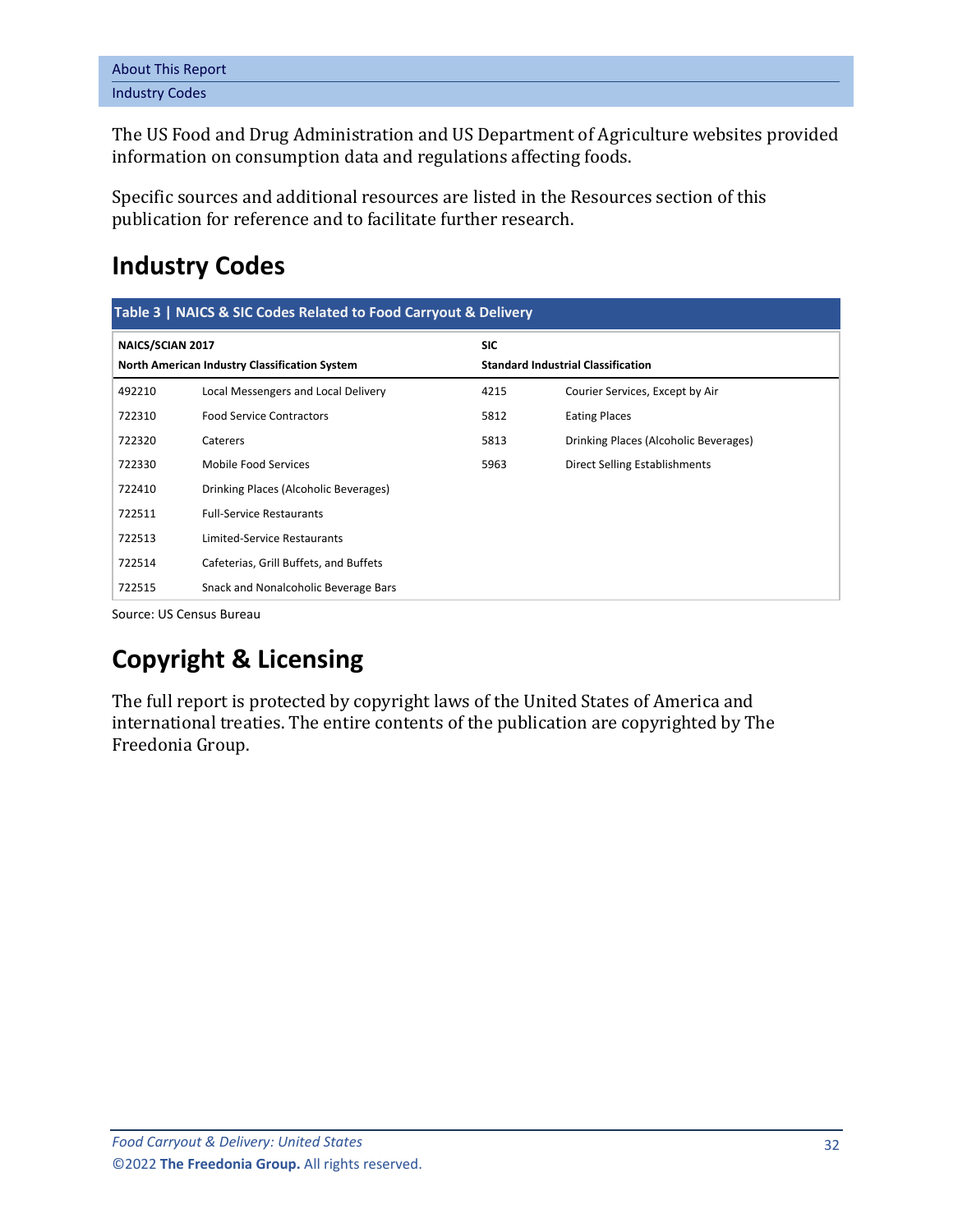| <b>About This Report</b> |  |
|--------------------------|--|
| <b>Industry Codes</b>    |  |

The US Food and Drug Administration and US Department of Agriculture websites provided information on consumption data and regulations affecting foods.

Specific sources and additional resources are listed in the Resources section of this publication for reference and to facilitate further research.

# <span id="page-7-0"></span>**Industry Codes**

<span id="page-7-1"></span>

| Table 3   NAICS & SIC Codes Related to Food Carryout & Delivery   |                                        |                                                         |                                       |  |  |  |  |  |
|-------------------------------------------------------------------|----------------------------------------|---------------------------------------------------------|---------------------------------------|--|--|--|--|--|
| NAICS/SCIAN 2017<br>North American Industry Classification System |                                        | <b>SIC</b><br><b>Standard Industrial Classification</b> |                                       |  |  |  |  |  |
| 492210                                                            | Local Messengers and Local Delivery    | 4215                                                    | Courier Services, Except by Air       |  |  |  |  |  |
| 722310                                                            | <b>Food Service Contractors</b>        | 5812                                                    | <b>Eating Places</b>                  |  |  |  |  |  |
| 722320                                                            | Caterers                               | 5813                                                    | Drinking Places (Alcoholic Beverages) |  |  |  |  |  |
| 722330                                                            | Mobile Food Services                   | 5963                                                    | Direct Selling Establishments         |  |  |  |  |  |
| 722410                                                            | Drinking Places (Alcoholic Beverages)  |                                                         |                                       |  |  |  |  |  |
| 722511                                                            | <b>Full-Service Restaurants</b>        |                                                         |                                       |  |  |  |  |  |
| 722513                                                            | Limited-Service Restaurants            |                                                         |                                       |  |  |  |  |  |
| 722514                                                            | Cafeterias, Grill Buffets, and Buffets |                                                         |                                       |  |  |  |  |  |
| 722515                                                            | Snack and Nonalcoholic Beverage Bars   |                                                         |                                       |  |  |  |  |  |

Source: US Census Bureau

# **Copyright & Licensing**

The full report is protected by copyright laws of the United States of America and international treaties. The entire contents of the publication are copyrighted by The Freedonia Group.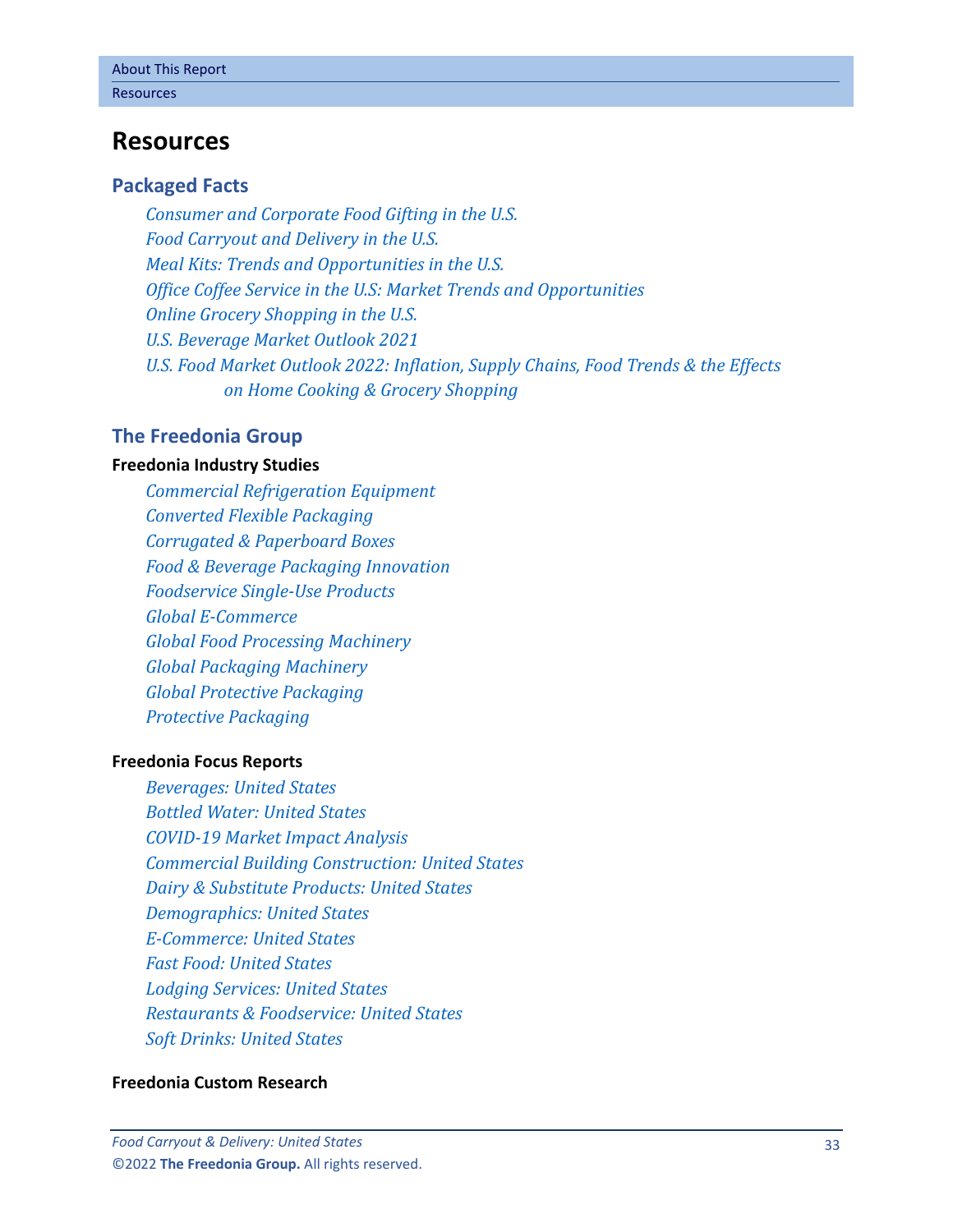## <span id="page-8-0"></span>**Resources**

#### **Packaged Facts**

*[Consumer and Corporate Food Gifting in the U.S.](https://www.packagedfacts.com/Consumer-Corporate-Food-Gifting-Edition-30916162/?progid=89534) [Food Carryout and Delivery in the U.S.](https://www.packagedfacts.com/Food-Carryout-Delivery-Edition-31435487/?progid=89534) [Meal Kits: Trends and Opportunities in the U.S.](https://www.packagedfacts.com/Meal-Kits-Trend-Opportunities-Editon-11984597/?progid=89534) [Office Coffee Service in the U.S: Market Trends and Opportunities](https://www.packagedfacts.com/Office-Coffee-Service-Trends-Opportunities-Edition-13361117/?progid=89534) [Online Grocery Shopping in the U.S.](https://www.packagedfacts.com/Online-Grocery-Shopping-Edition-11920668/?progid=89534) [U.S. Beverage Market Outlook 2021](https://www.packagedfacts.com/Beverage-Outlook-30069836/?progid=89534) [U.S. Food Market Outlook 2022: Inflation, Supply Chains, Food Trends & the Effects](https://www.packagedfacts.com/Food-Outlook-Inflation-Supply-Chains-Trends-Effects-Home-Cooking-Grocery-Shopping-31479388/?progid=89534)  [on Home Cooking & Grocery Shopping](https://www.packagedfacts.com/Food-Outlook-Inflation-Supply-Chains-Trends-Effects-Home-Cooking-Grocery-Shopping-31479388/?progid=89534)*

#### **The Freedonia Group**

#### **[Freedonia Industry Studies](http://www.freedoniagroup.com/Home.aspx?ReferrerId=FL-Focus)**

*[Commercial Refrigeration Equipment](http://www.freedoniagroup.com/DocumentDetails.aspx?ReferrerId=FL-FOCUS&studyid=3831) [Converted Flexible Packaging](http://www.freedoniagroup.com/DocumentDetails.aspx?ReferrerId=FL-FOCUS&studyid=3731) [Corrugated & Paperboard Boxes](http://www.freedoniagroup.com/DocumentDetails.aspx?ReferrerId=FL-FOCUS&studyid=4292) [Food & Beverage Packaging Innovation](http://www.freedoniagroup.com/DocumentDetails.aspx?ReferrerId=FL-FOCUS&studyid=3736) [Foodservice Single-Use Products](http://www.freedoniagroup.com/DocumentDetails.aspx?ReferrerId=FL-FOCUS&studyid=3774) [Global E-Commerce](http://www.freedoniagroup.com/DocumentDetails.aspx?ReferrerId=FL-FOCUS&studyid=3724) [Global Food Processing Machinery](http://www.freedoniagroup.com/DocumentDetails.aspx?ReferrerId=FL-FOCUS&studyid=3809) [Global Packaging Machinery](http://www.freedoniagroup.com/DocumentDetails.aspx?ReferrerId=FL-FOCUS&studyid=4307) [Global Protective Packaging](http://www.freedoniagroup.com/DocumentDetails.aspx?ReferrerId=FL-FOCUS&studyid=3741) [Protective Packaging](http://www.freedoniagroup.com/DocumentDetails.aspx?ReferrerId=FL-FOCUS&studyid=3797)*

#### **[Freedonia Focus Reports](https://www.freedoniafocusreports.com/redirect.asp?progid=89534&url=/)**

*[Beverages: United States](https://www.freedoniafocusreports.com/Beverages-United-States-FF10023/?progid=89534) [Bottled Water: United States](https://www.freedoniafocusreports.com/Bottled-Water-United-States-FF10011/?progid=89534) [COVID-19 Market Impact Analysis](https://www.freedoniafocusreports.com/COVID-19-Market-Impact-Analysis-FW95079/?progid=89534) [Commercial Building Construction: United States](https://www.freedoniafocusreports.com/pub/31479611.html/?progid=89534) [Dairy & Substitute Products: United States](https://www.freedoniafocusreports.com/Dairy-Substitute-Products-United-States-FF10013/?progid=89534) [Demographics: United States](https://www.freedoniafocusreports.com/Demographics-United-States-FF95050/?progid=89534) [E-Commerce: United States](https://www.freedoniafocusreports.com/E-Commerce-United-States-FF90043/?progid=89534) [Fast Food: United States](https://www.freedoniafocusreports.com/Fast-Food-United-States-FF95072/?progid=89534) [Lodging Services: United States](https://www.freedoniafocusreports.com/Lodging-Services-United-States-FF95045/?progid=89534) [Restaurants & Foodservice: United States](https://www.freedoniafocusreports.com/Restaurants-Foodservice-United-States-FF95019/?progid=89534) [Soft Drinks: United States](https://www.freedoniafocusreports.com/Soft-Drinks-United-States-FF10018/?progid=89534)*

#### **[Freedonia Custom Research](http://www.freedoniagroup.com/CustomResearch.aspx?ReferrerId=FL-Focus)**